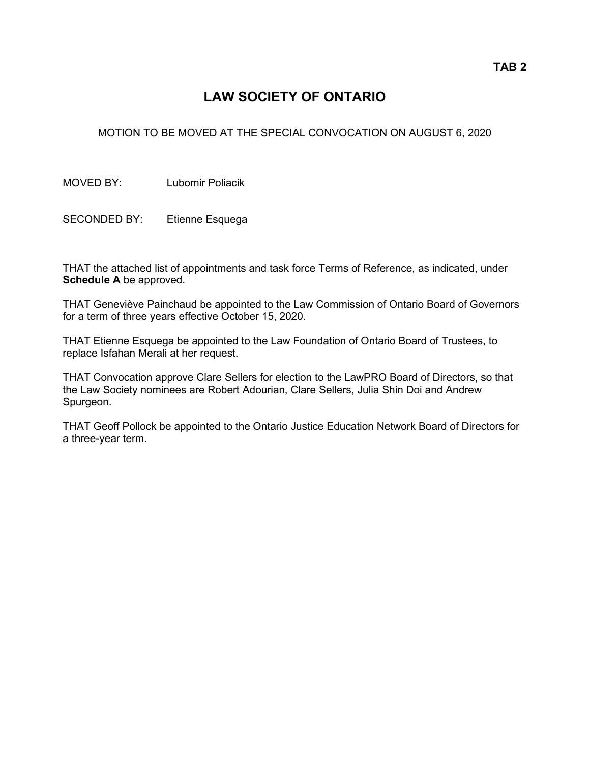# **LAW SOCIETY OF ONTARIO**

## MOTION TO BE MOVED AT THE SPECIAL CONVOCATION ON AUGUST 6, 2020

MOVED BY: Lubomir Poliacik

SECONDED BY: Etienne Esquega

THAT the attached list of appointments and task force Terms of Reference, as indicated, under **Schedule A** be approved.

THAT Geneviève Painchaud be appointed to the Law Commission of Ontario Board of Governors for a term of three years effective October 15, 2020.

THAT Etienne Esquega be appointed to the Law Foundation of Ontario Board of Trustees, to replace Isfahan Merali at her request.

THAT Convocation approve Clare Sellers for election to the LawPRO Board of Directors, so that the Law Society nominees are Robert Adourian, Clare Sellers, Julia Shin Doi and Andrew Spurgeon.

THAT Geoff Pollock be appointed to the Ontario Justice Education Network Board of Directors for a three-year term.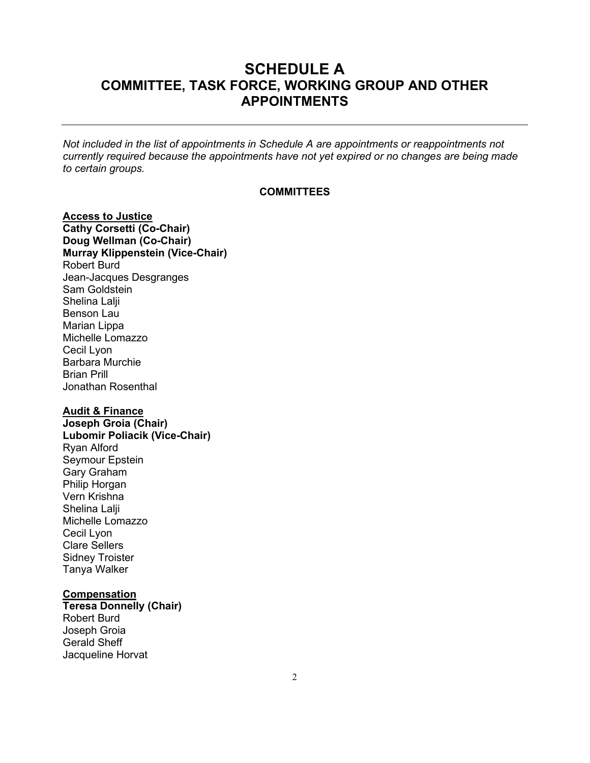# **SCHEDULE A COMMITTEE, TASK FORCE, WORKING GROUP AND OTHER APPOINTMENTS**

*Not included in the list of appointments in Schedule A are appointments or reappointments not currently required because the appointments have not yet expired or no changes are being made to certain groups.*

### **COMMITTEES**

**Access to Justice Cathy Corsetti (Co-Chair) Doug Wellman (Co-Chair) Murray Klippenstein (Vice-Chair)** Robert Burd Jean-Jacques Desgranges Sam Goldstein Shelina Lalji Benson Lau Marian Lippa Michelle Lomazzo Cecil Lyon Barbara Murchie Brian Prill Jonathan Rosenthal

### **Audit & Finance**

<span id="page-1-0"></span>**Joseph Groia (Chair) Lubomir Poliacik (Vice-Chair)** Ryan Alford Seymour Epstein Gary Graham Philip Horgan Vern Krishna Shelina Lalji Michelle Lomazzo Cecil Lyon Clare Sellers Sidney Troister Tanya Walker

## <span id="page-1-1"></span>**Compensation**

**Teresa Donnelly (Chair)** Robert Burd Joseph Groia Gerald Sheff Jacqueline Horvat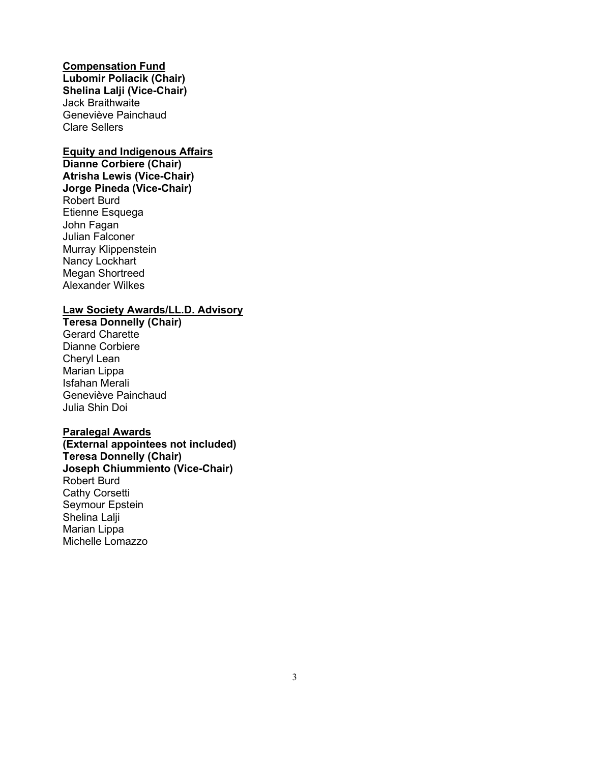**Compensation Fund Lubomir Poliacik (Chair) Shelina Lalji (Vice-Chair)** Jack Braithwaite Geneviève Painchaud Clare Sellers

### **Equity and Indigenous Affairs**

**Dianne Corbiere (Chair) Atrisha Lewis (Vice-Chair) Jorge Pineda (Vice-Chair)** Robert Burd Etienne Esquega John Fagan Julian Falconer Murray Klippenstein Nancy Lockhart Megan Shortreed Alexander Wilkes

## **Law Society Awards/LL.D. Advisory**

<span id="page-2-0"></span>**Teresa Donnelly (Chair)** Gerard Charette Dianne Corbiere Cheryl Lean Marian Lippa Isfahan Merali Geneviève Painchaud Julia Shin Doi

## <span id="page-2-1"></span>**Paralegal Awards**

**(External appointees not included) Teresa Donnelly (Chair) Joseph Chiummiento (Vice-Chair)** Robert Burd Cathy Corsetti Seymour Epstein Shelina Lalji Marian Lippa Michelle Lomazzo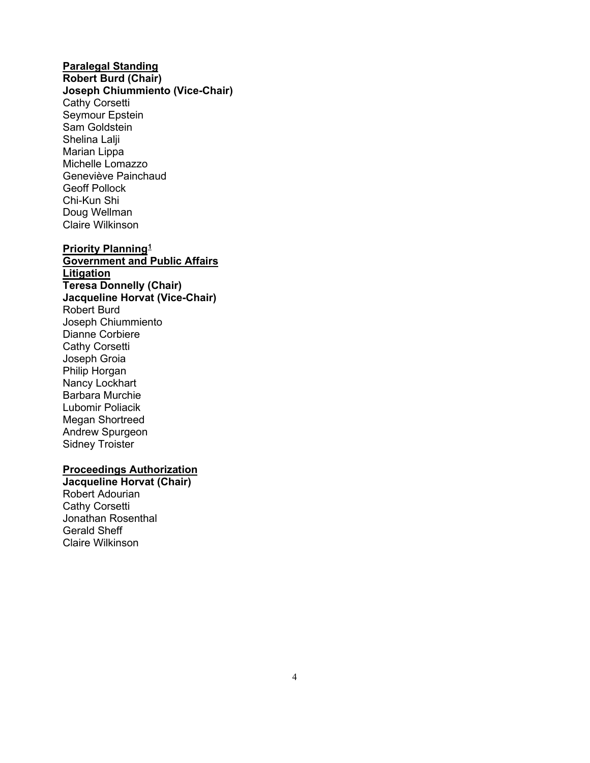## **Paralegal Standing**

**Robert Burd (Chair)**

<span id="page-3-0"></span>**Joseph Chiummiento (Vice-Chair)**  Cathy Corsetti Seymour Epstein Sam Goldstein Shelina Lalii Marian Lippa Michelle Lomazzo Geneviève Painchaud Geoff Pollock Chi-Kun Shi Doug Wellman Claire Wilkinson

## **Priority Planning[1](#page-1-0)**

**Government and Public Affairs Litigation Teresa Donnelly (Chair) Jacqueline Horvat (Vice-Chair)** Robert Burd Joseph Chiummiento Dianne Corbiere Cathy Corsetti Joseph Groia Philip Horgan Nancy Lockhart Barbara Murchie Lubomir Poliacik Megan Shortreed Andrew Spurgeon Sidney Troister

## **Proceedings Authorization**

**Jacqueline Horvat (Chair)** Robert Adourian Cathy Corsetti Jonathan Rosenthal Gerald Sheff Claire Wilkinson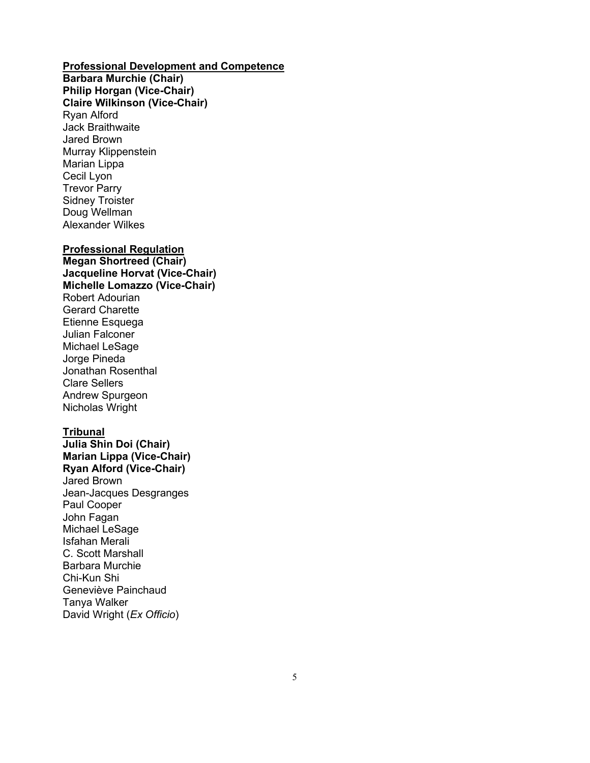## **Professional Development and Competence**

**Barbara Murchie (Chair) Philip Horgan (Vice-Chair) Claire Wilkinson (Vice-Chair)** Ryan Alford Jack Braithwaite Jared Brown Murray Klippenstein Marian Lippa Cecil Lyon Trevor Parry Sidney Troister Doug Wellman Alexander Wilkes

## **Professional Regulation**

**Megan Shortreed (Chair) Jacqueline Horvat (Vice-Chair) Michelle Lomazzo (Vice-Chair)** Robert Adourian Gerard Charette Etienne Esquega Julian Falconer Michael LeSage Jorge Pineda Jonathan Rosenthal Clare Sellers Andrew Spurgeon Nicholas Wright

## **Tribunal**

**Julia Shin Doi (Chair) Marian Lippa (Vice-Chair) Ryan Alford (Vice-Chair)** Jared Brown Jean-Jacques Desgranges Paul Cooper John Fagan Michael LeSage Isfahan Merali C. Scott Marshall Barbara Murchie Chi-Kun Shi Geneviève Painchaud Tanya Walker David Wright (*Ex Officio*)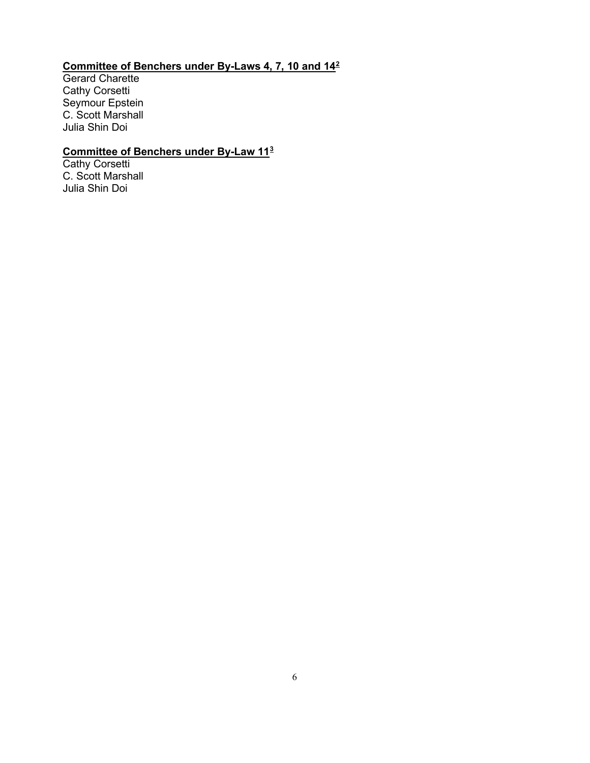# **Committee of Benchers under By-Laws 4, 7, 10 and 14[2](#page-1-1)**

Gerard Charette Cathy Corsetti Seymour Epstein C. Scott Marshall Julia Shin Doi

## **Committee of Benchers under By-Law 11[3](#page-2-0)**

Cathy Corsetti C. Scott Marshall Julia Shin Doi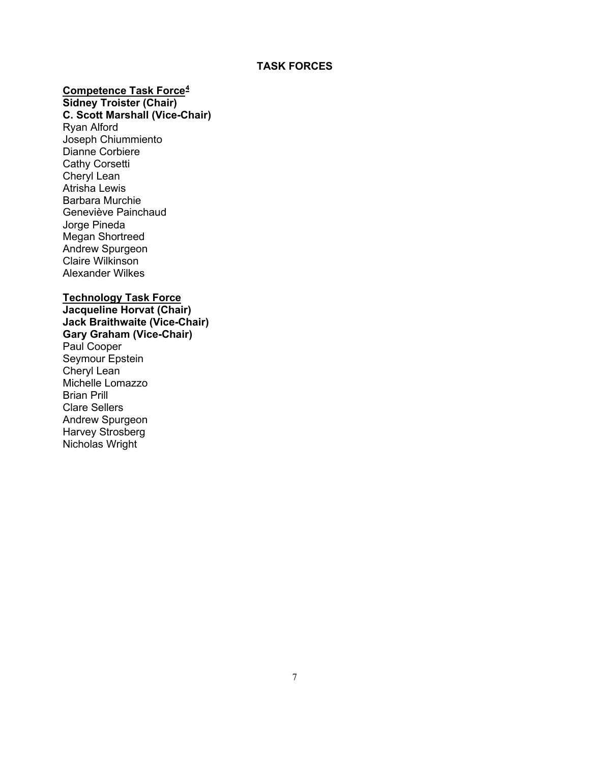## **TASK FORCES**

## **Competence Task Force[4](#page-2-1)**

## **Sidney Troister (Chair)**

**C. Scott Marshall (Vice-Chair)** Ryan Alford

Joseph Chiummiento Dianne Corbiere Cathy Corsetti Cheryl Lean Atrisha Lewis Barbara Murchie Geneviève Painchaud Jorge Pineda Megan Shortreed Andrew Spurgeon Claire Wilkinson Alexander Wilkes

## **Technology Task Force**

**Jacqueline Horvat (Chair) Jack Braithwaite (Vice-Chair) Gary Graham (Vice-Chair)** Paul Cooper Seymour Epstein Cheryl Lean Michelle Lomazzo Brian Prill Clare Sellers Andrew Spurgeon Harvey Strosberg Nicholas Wright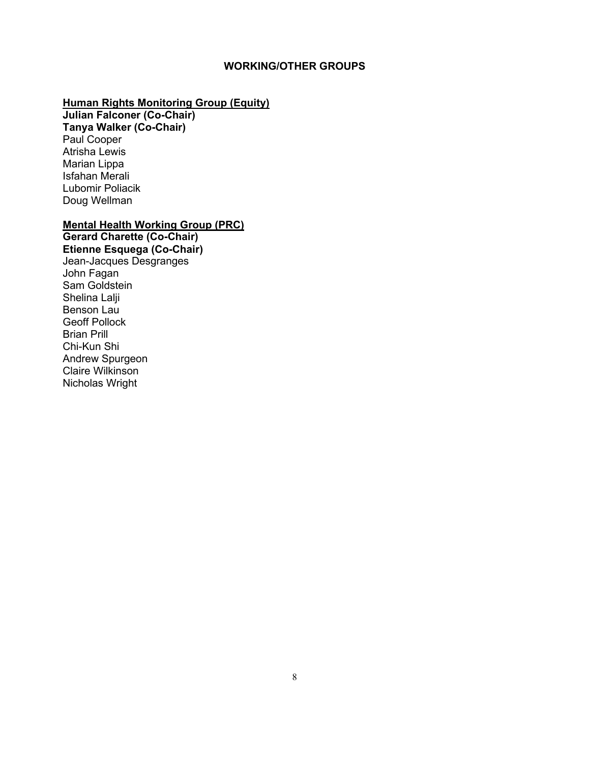## **WORKING/OTHER GROUPS**

# **Human Rights Monitoring Group (Equity)**

**Julian Falconer (Co-Chair) Tanya Walker (Co-Chair)** Paul Cooper Atrisha Lewis Marian Lippa Isfahan Merali Lubomir Poliacik Doug Wellman

# **Mental Health Working Group (PRC)**

**Gerard Charette (Co-Chair) Etienne Esquega (Co-Chair)** Jean-Jacques Desgranges John Fagan Sam Goldstein Shelina Lalji Benson Lau Geoff Pollock Brian Prill Chi-Kun Shi Andrew Spurgeon Claire Wilkinson Nicholas Wright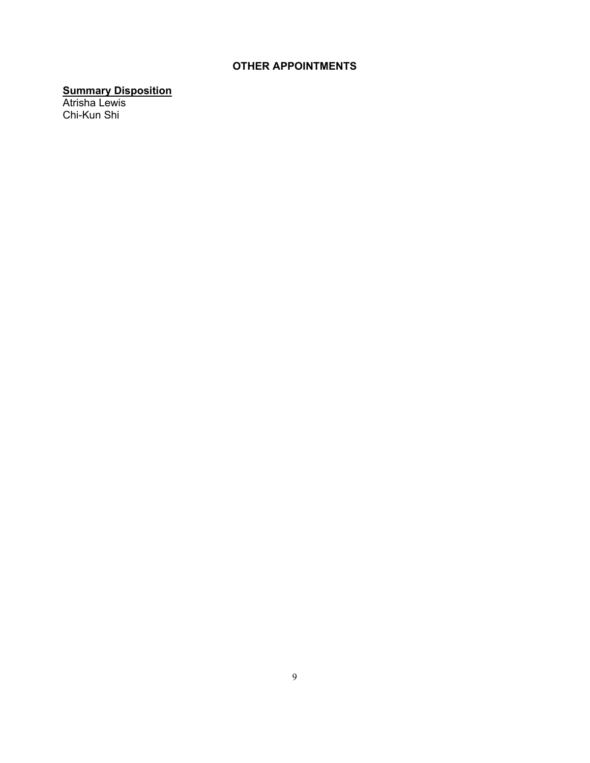# **OTHER APPOINTMENTS**

## **Summary Disposition**

Atrisha Lewis Chi-Kun Shi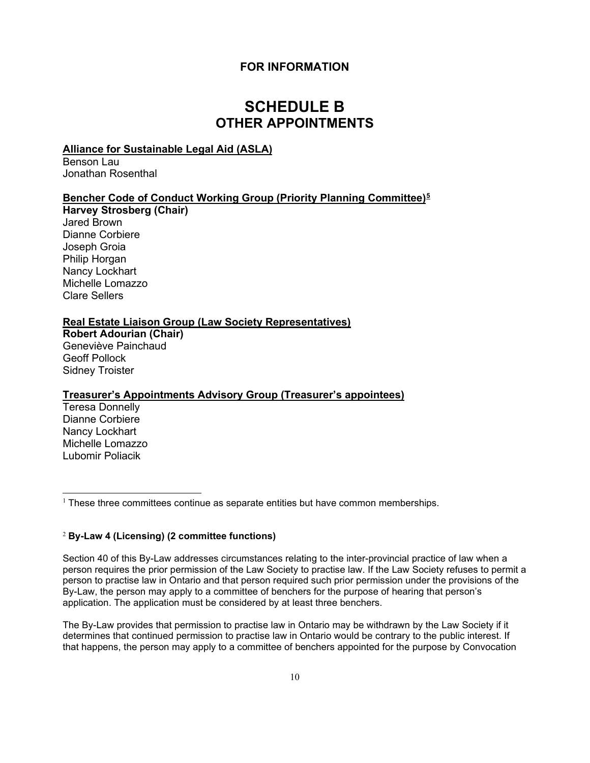## **FOR INFORMATION**

# **SCHEDULE B OTHER APPOINTMENTS**

## **Alliance for Sustainable Legal Aid (ASLA)**

Benson Lau Jonathan Rosenthal

## **Bencher Code of Conduct Working Group (Priority Planning Committee)[5](#page-3-0)**

**Harvey Strosberg (Chair)** Jared Brown Dianne Corbiere Joseph Groia Philip Horgan Nancy Lockhart Michelle Lomazzo Clare Sellers

### **Real Estate Liaison Group (Law Society Representatives)**

**Robert Adourian (Chair)** Geneviève Painchaud Geoff Pollock Sidney Troister

#### **Treasurer's Appointments Advisory Group (Treasurer's appointees)**

Teresa Donnelly Dianne Corbiere Nancy Lockhart Michelle Lomazzo Lubomir Poliacik

 $1$  These three committees continue as separate entities but have common memberships.

#### <sup>2</sup> **By-Law 4 (Licensing) (2 committee functions)**

Section 40 of this By-Law addresses circumstances relating to the inter-provincial practice of law when a person requires the prior permission of the Law Society to practise law. If the Law Society refuses to permit a person to practise law in Ontario and that person required such prior permission under the provisions of the By-Law, the person may apply to a committee of benchers for the purpose of hearing that person's application. The application must be considered by at least three benchers.

The By-Law provides that permission to practise law in Ontario may be withdrawn by the Law Society if it determines that continued permission to practise law in Ontario would be contrary to the public interest. If that happens, the person may apply to a committee of benchers appointed for the purpose by Convocation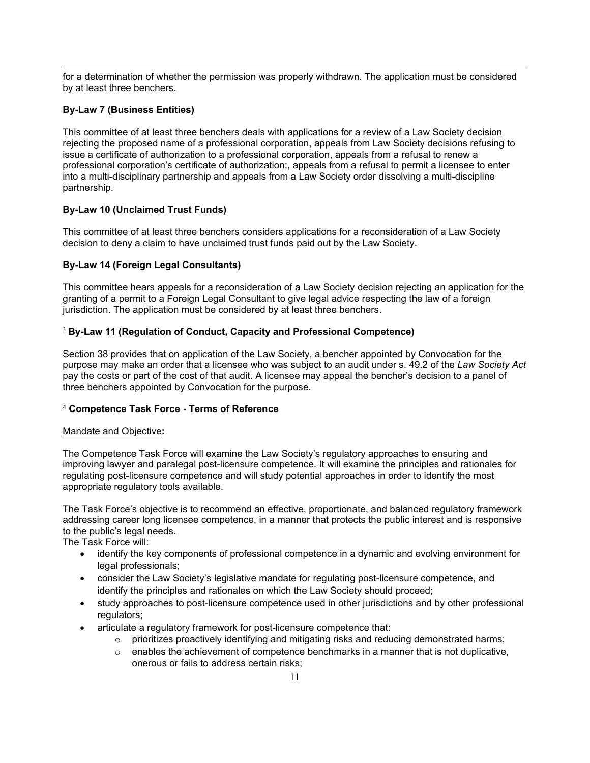for a determination of whether the permission was properly withdrawn. The application must be considered by at least three benchers.

### **By-Law 7 (Business Entities)**

This committee of at least three benchers deals with applications for a review of a Law Society decision rejecting the proposed name of a professional corporation, appeals from Law Society decisions refusing to issue a certificate of authorization to a professional corporation, appeals from a refusal to renew a professional corporation's certificate of authorization;, appeals from a refusal to permit a licensee to enter into a multi-disciplinary partnership and appeals from a Law Society order dissolving a multi-discipline partnership.

#### **By-Law 10 (Unclaimed Trust Funds)**

This committee of at least three benchers considers applications for a reconsideration of a Law Society decision to deny a claim to have unclaimed trust funds paid out by the Law Society.

## **By-Law 14 (Foreign Legal Consultants)**

This committee hears appeals for a reconsideration of a Law Society decision rejecting an application for the granting of a permit to a Foreign Legal Consultant to give legal advice respecting the law of a foreign jurisdiction. The application must be considered by at least three benchers.

#### <sup>3</sup> **By-Law 11 (Regulation of Conduct, Capacity and Professional Competence)**

Section 38 provides that on application of the Law Society, a bencher appointed by Convocation for the purpose may make an order that a licensee who was subject to an audit under s. 49.2 of the *Law Society Act* pay the costs or part of the cost of that audit. A licensee may appeal the bencher's decision to a panel of three benchers appointed by Convocation for the purpose.

#### <sup>4</sup> **Competence Task Force - Terms of Reference**

#### Mandate and Objective**:**

The Competence Task Force will examine the Law Society's regulatory approaches to ensuring and improving lawyer and paralegal post-licensure competence. It will examine the principles and rationales for regulating post-licensure competence and will study potential approaches in order to identify the most appropriate regulatory tools available.

The Task Force's objective is to recommend an effective, proportionate, and balanced regulatory framework addressing career long licensee competence, in a manner that protects the public interest and is responsive to the public's legal needs.

The Task Force will:

- identify the key components of professional competence in a dynamic and evolving environment for legal professionals;
- consider the Law Society's legislative mandate for regulating post-licensure competence, and identify the principles and rationales on which the Law Society should proceed;
- study approaches to post-licensure competence used in other jurisdictions and by other professional regulators;
- articulate a regulatory framework for post-licensure competence that:
	- $\circ$  prioritizes proactively identifying and mitigating risks and reducing demonstrated harms;
	- $\circ$  enables the achievement of competence benchmarks in a manner that is not duplicative, onerous or fails to address certain risks;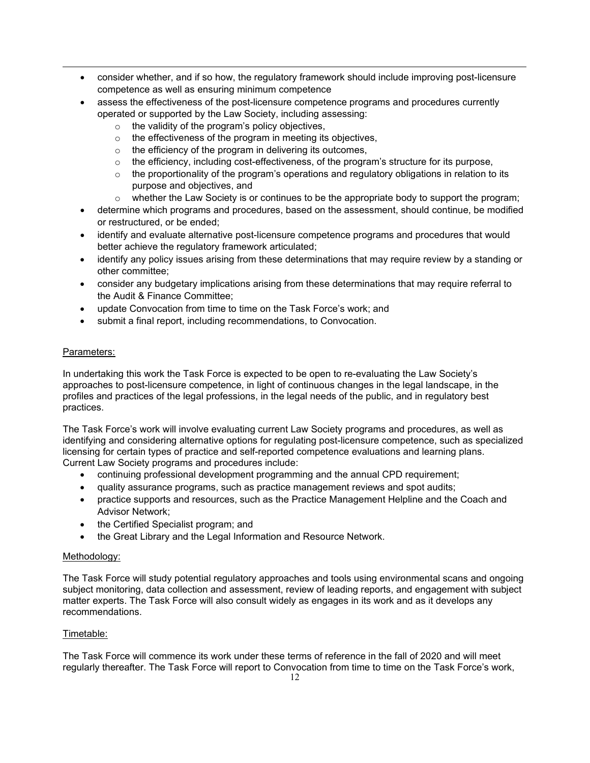- consider whether, and if so how, the regulatory framework should include improving post-licensure competence as well as ensuring minimum competence
- assess the effectiveness of the post-licensure competence programs and procedures currently operated or supported by the Law Society, including assessing:
	- o the validity of the program's policy objectives,
	- o the effectiveness of the program in meeting its objectives,
	- $\circ$  the efficiency of the program in delivering its outcomes,
	- $\circ$  the efficiency, including cost-effectiveness, of the program's structure for its purpose,
	- o the proportionality of the program's operations and regulatory obligations in relation to its purpose and objectives, and
	- $\circ$  whether the Law Society is or continues to be the appropriate body to support the program;
- determine which programs and procedures, based on the assessment, should continue, be modified or restructured, or be ended;
- identify and evaluate alternative post-licensure competence programs and procedures that would better achieve the regulatory framework articulated;
- identify any policy issues arising from these determinations that may require review by a standing or other committee;
- consider any budgetary implications arising from these determinations that may require referral to the Audit & Finance Committee;
- update Convocation from time to time on the Task Force's work; and
- submit a final report, including recommendations, to Convocation.

#### Parameters:

In undertaking this work the Task Force is expected to be open to re-evaluating the Law Society's approaches to post-licensure competence, in light of continuous changes in the legal landscape, in the profiles and practices of the legal professions, in the legal needs of the public, and in regulatory best practices.

The Task Force's work will involve evaluating current Law Society programs and procedures, as well as identifying and considering alternative options for regulating post-licensure competence, such as specialized licensing for certain types of practice and self-reported competence evaluations and learning plans. Current Law Society programs and procedures include:

- continuing professional development programming and the annual CPD requirement;
- quality assurance programs, such as practice management reviews and spot audits;
- practice supports and resources, such as the Practice Management Helpline and the Coach and Advisor Network;
- the Certified Specialist program; and
- the Great Library and the Legal Information and Resource Network.

#### Methodology:

The Task Force will study potential regulatory approaches and tools using environmental scans and ongoing subject monitoring, data collection and assessment, review of leading reports, and engagement with subject matter experts. The Task Force will also consult widely as engages in its work and as it develops any recommendations.

#### Timetable:

The Task Force will commence its work under these terms of reference in the fall of 2020 and will meet regularly thereafter. The Task Force will report to Convocation from time to time on the Task Force's work,